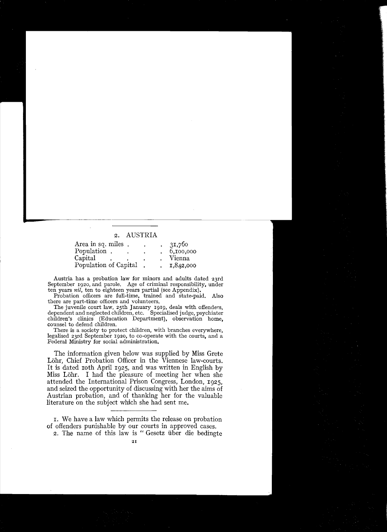## 2. AUSTRIA

| Area in sq. miles.    |  | ٠ | 31,760    |
|-----------------------|--|---|-----------|
| Population.           |  |   | 6,100,000 |
| Capital               |  |   | Vienna    |
| Population of Capital |  |   | 1,842,000 |

Austria has a probation law for minors and adults dated 23rd September 1920, and parole. Age of criminal responsibility, under ten years *nil*, ten to eighteen years partial (see Appendix).

Probation officers are full-time, trained and state-paid. Also there are part-time officers and volunteers.

The juvenile court law, 25th January 1919, deals with offenders, dependent and neglected children, etc. Specialised judge, psychiater children's clinics (Education Department), observation home, counsel to defend children.

There is a society to protect children, with branches everywhere, legalised 23rd September 1920, to co-operate with the courts, and a Federal Ministry for social administration.

The information given below was supplied by Miss Grete Löhr, Chief Probation Officer in the Viennese law-courts. It is dated 10th April 1925, and was written in English by Miss Löhr. I had the pleasure of meeting her when she attended the International Prison Congress, London, 1925, and seized the opportunity of discussing with her the aims of Austrian probation, and of thanking her for the valuable literature on the subject which she had sent me.

1. We have a law which permits the release on probation of offenders punishable by our courts in approved cases.

2. The name of this law is "Gesetz über die bedingte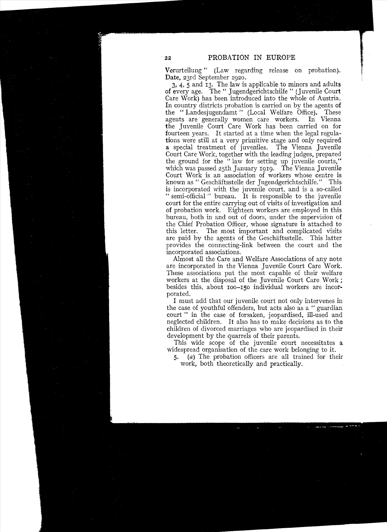Verurteilung" (Law regarding release on probation). Date, 23rd September 1920.

 $3, 4, 5$  and  $13$ . The law is applicable to minors and adults of every age. The" Jugendgerichtschilfe " (Juvenile Court Care Work) has been introduced into the whole of Austria. In country districts probation is carried on by the agents of the "Landesjugendamt" (Local Welfare Office). These agents are generally women care workers. In Vienna agents are generally women care workers. the Juvenile Court Care Work has been carried on for fourteen years. It started at a time when the legal regulations were still at a very primitive stage and only required a special treatment of juveniles. The Vienna Juvenile Court Care Work, together with the leading judges, prepared the ground for the "law for setting up juvenile courts," which was passed 25th January 1919. The Vienna Juvenile Court Work is an association of workers whose centre is known as " Geschäftsstelle der Jugendgerichtschilfe." This is incorporated with the juvenile court, and is a so-called " semi-official" bureau. It is responsible to the juvenile court for the entire carrying out of visits of investigation and of probation work. Eighteen workers are employed in this bureau, both in and out of doors, under the supervision of the Chief Probation Officer, whose signature is attached to this letter. The most important and complicated visits are paid by the agents of the Geschäftsstelle. This latter provides the connecting-link between the court and the incorporated associations.

Almost all the Care and Welfare Associations of any note are incorporated in the Vienna Juvenile Court Care Work. These associations put the most capable of their welfare workers at the disposal of the Juvenile Court Care Work; besides this, about IOO-I50 individual workers are incorporated.

I must add that our juvenile court not only intervenes in the case of youthful offenders, but acts also as a " guardian court" in the case of forsaken, jeopardised, ill-used and neglected children. It also has to make decisions as to the children of divorced marriages who are jeopardised in their development by the quarrels of their parents.

This wide scope of the juvenile court necessitates a widespread organisation of the care work belonging to it.

*5.*  (a) The probation officers are all trained for their work, both theoretically and practically.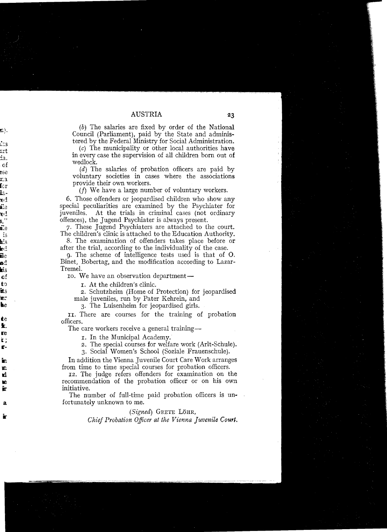## AUSTRIA

(b) The salaries are fixed by order of the National Council (Parliament), paid by the State and administered by the Federal Ministry for Social Administration.

(c) The municipality or other local authorities have in every case the supervision of all children bom out of wedlock.

 $(d)$  The salaries of probation officers are paid by voluntary societies in cases where the associations provide their own workers.

 $(f)$  We have a large number of voluntary workers.

6. Those offenders or jeopardised children who show any special peculiarities are examined by the Psychiater for juveniles. At the trials in criminal cases (not ordinary offences), the Jugend Psychiater is always present.

7. These Jugend Psychiaters are attached to the court. The children's clinic is attached to the Education Authority.

8. The examination of offenders takes place before or after the trial, according to the individuality of the case.

9. The scheme of intelligence tests used is that of O. Binet, Bobertag, and the modification according to Lazar-Tremel.

Io. We have an observation department—

r. At the children's clinic.

2. Schutzheim (Home of Protection) for jeopardised male juveniles, run by Pater Kehrein, and

3. The Luisenheim for jeopardised girls.

Ir. There are courses for the training of probation officers.

The care workers receive a general training-

r. In the Municipal Academy.

2. The special courses for welfare work (Arlt-Schule).

3. Socia! Women's School (Soziale Frauenschule).

In addition the Vienna Juvenile Court Care Work arranges from time to time special courses for probation officers.

12. The judge refers offenders for examination on the recommendation of the probation officer or on his own initiative.

The number of fuIl-time paid probation officers is unfortunately unknown to me.

 $(Signed)$  GRETE LÖHR,

*Chief Probation Officer at the Vienna Juvenile Court.*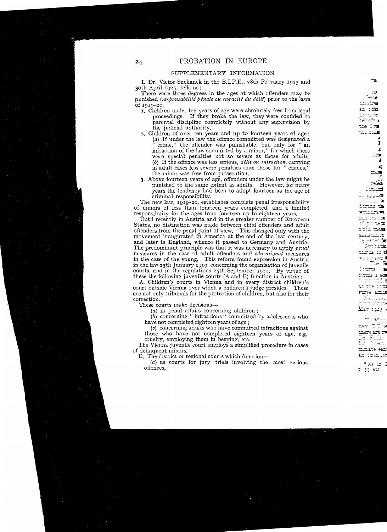## SUPPLEMENTARY INFORMATION

I. Dr. Victor Suchanek in the B.I.P.E., 28th February 1925 and 30th April 1925, tells us:

There were three degrees in the ages at which offenders may be punished *(responsabilité pénale ou capacité du délit)* prior to the laws of 1919-20.

- I. Children under ten years of age were absolutely free from legal proceedings. If they broke the law, they were confided to parental discipline completely without any supervision by the judicial authority.
- 2. Children of over ten years and up to fourteen years of age:<br>(a) If under the law the offence committed was designated a "crime," the offender was punishable, but only for "an infraction of the law committed by a minor," for which there were special penalties not so severe as those for adults. *(b)* If the offence was less serious, *délit ou infraction,* carrying in adult cases 1ess severe penalties than those for "crimes," the minor was free from prosecution.
- 3. Above fourteen years of age, offenders under the 1aw might be punished to the same extent as adults. However, for many years the tendency had been to adopt fourteen as the age of criminal responsibility.

The new law, 1919-20, establishes complete penal irresponsibility of minors of less than fourteen years completed, and a limited responsibility for the ages from fourteen up to eighteen years.

Until recently in Austria and in the greater number of European States, no distinction was made between child offenders and adult offenders from the penal point of view. This changed only with the movement inaugurated in America at the end of the last century, and later in England, whence it passed to Germany and Austria. The predominant principle was that it was necessary to apply penal measures in the case of adult offenders and *educational* measures in the case of the young. This reform found expression in Austria in the law 25th January 1919, conceming the organisation of juvenile courts, and in the regulations 25th September 1920. By virtue of these the following juvenile courts (A and B) function in Austria:

A. Children's courts in Vienna and in every district children's court outside Vienna over which a children's judge presides. These are not only tribunals for the protection of children, but also for their correction.

These courts make decisions

 $(a)$  in penal affairs concerning children;

(b) conceming " infractions " committed by adolescents who have not completed eighteen years of age ;

 $(c)$  concerning adults who have committed infractions against those who have not completed eighteen years of age, e.g. cruelty, employing them in begging, etc.

The Vienna juvenile court employs a simplified procedure in cases of delinquent minors.

B. The district or regional courts which function

(a) as courts for jury trials involving the most serious offences.